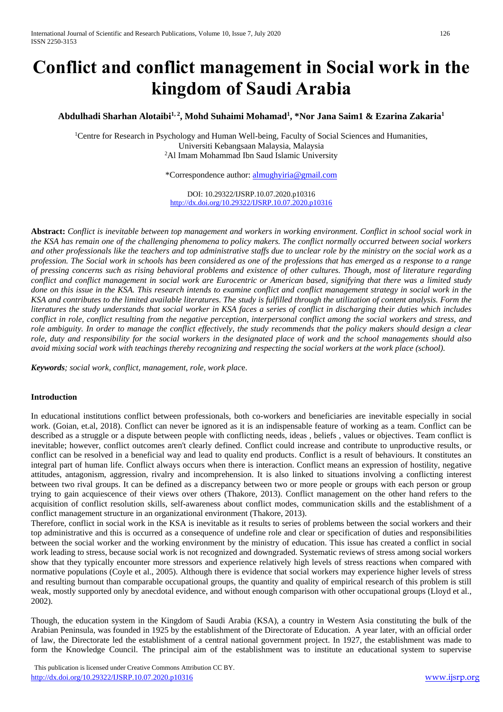# **Conflict and conflict management in Social work in the kingdom of Saudi Arabia**

# **Abdulhadi Sharhan Alotaibi1, 2, Mohd Suhaimi Mohamad<sup>1</sup> , \*Nor Jana Saim1 & Ezarina Zakaria<sup>1</sup>**

<sup>1</sup>Centre for Research in Psychology and Human Well-being, Faculty of Social Sciences and Humanities, Universiti Kebangsaan Malaysia, Malaysia <sup>2</sup>Al Imam Mohammad Ibn Saud Islamic University

\*Correspondence author: [almughyiria@gmail.com](mailto:almughyiria@gmail.com)

DOI: 10.29322/IJSRP.10.07.2020.p10316 <http://dx.doi.org/10.29322/IJSRP.10.07.2020.p10316>

**Abstract:** *Conflict is inevitable between top management and workers in working environment. Conflict in school social work in the KSA has remain one of the challenging phenomena to policy makers. The conflict normally occurred between social workers and other professionals like the teachers and top administrative staffs due to unclear role by the ministry on the social work as a profession. The Social work in schools has been considered as one of the professions that has emerged as a response to a range of pressing concerns such as rising behavioral problems and existence of other cultures. Though, most of literature regarding conflict and conflict management in social work are Eurocentric or American based, signifying that there was a limited study done on this issue in the KSA. This research intends to examine conflict and conflict management strategy in social work in the KSA and contributes to the limited available literatures. The study is fulfilled through the utilization of content analysis. Form the literatures the study understands that social worker in KSA faces a series of conflict in discharging their duties which includes conflict in role, conflict resulting from the negative perception, interpersonal conflict among the social workers and stress, and role ambiguity. In order to manage the conflict effectively, the study recommends that the policy makers should design a clear role, duty and responsibility for the social workers in the designated place of work and the school managements should also avoid mixing social work with teachings thereby recognizing and respecting the social workers at the work place (school).*

*Keywords; social work, conflict, management, role, work plac*e.

## **Introduction**

In educational institutions conflict between professionals, both co-workers and beneficiaries are inevitable especially in social work. (Goian, et.al, 2018). Conflict can never be ignored as it is an indispensable feature of working as a team. Conflict can be described as a struggle or a dispute between people with conflicting needs, ideas , beliefs , values or objectives. Team conflict is inevitable; however, conflict outcomes aren't clearly defined. Conflict could increase and contribute to unproductive results, or conflict can be resolved in a beneficial way and lead to quality end products. Conflict is a result of behaviours. It constitutes an integral part of human life. Conflict always occurs when there is interaction. Conflict means an expression of hostility, negative attitudes, antagonism, aggression, rivalry and incomprehension. It is also linked to situations involving a conflicting interest between two rival groups. It can be defined as a discrepancy between two or more people or groups with each person or group trying to gain acquiescence of their views over others (Thakore, 2013). Conflict management on the other hand refers to the acquisition of conflict resolution skills, self-awareness about conflict modes, communication skills and the establishment of a conflict management structure in an organizational environment (Thakore, 2013).

Therefore, conflict in social work in the KSA is inevitable as it results to series of problems between the social workers and their top administrative and this is occurred as a consequence of undefine role and clear or specification of duties and responsibilities between the social worker and the working environment by the ministry of education. This issue has created a conflict in social work leading to stress, because social work is not recognized and downgraded. Systematic reviews of stress among social workers show that they typically encounter more stressors and experience relatively high levels of stress reactions when compared with normative populations (Coyle et al., 2005). Although there is evidence that social workers may experience higher levels of stress and resulting burnout than comparable occupational groups, the quantity and quality of empirical research of this problem is still weak, mostly supported only by anecdotal evidence, and without enough comparison with other occupational groups (Lloyd et al., 2002).

Though, the education system in the Kingdom of Saudi Arabia (KSA), a country in Western Asia constituting the bulk of the Arabian Peninsula, was founded in 1925 by the establishment of the Directorate of Education. A year later, with an official order of law, the Directorate led the establishment of a central national government project. In 1927, the establishment was made to form the Knowledge Council. The principal aim of the establishment was to institute an educational system to supervise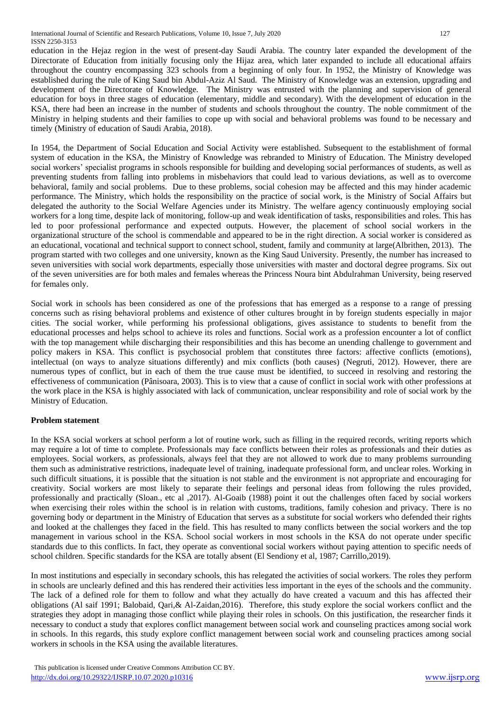education in the Hejaz region in the west of present-day Saudi Arabia. The country later expanded the development of the Directorate of Education from initially focusing only the Hijaz area, which later expanded to include all educational affairs throughout the country encompassing 323 schools from a beginning of only four. In 1952, the Ministry of Knowledge was established during the rule of King Saud bin Abdul-Aziz Al Saud. The Ministry of Knowledge was an extension, upgrading and development of the Directorate of Knowledge. The Ministry was entrusted with the planning and supervision of general education for boys in three stages of education (elementary, middle and secondary). With the development of education in the KSA, there had been an increase in the number of students and schools throughout the country. The noble commitment of the Ministry in helping students and their families to cope up with social and behavioral problems was found to be necessary and timely (Ministry of education of Saudi Arabia, 2018).

In 1954, the Department of Social Education and Social Activity were established. Subsequent to the establishment of formal system of education in the KSA, the Ministry of Knowledge was rebranded to Ministry of Education. The Ministry developed social workers' specialist programs in schools responsible for building and developing social performances of students, as well as preventing students from falling into problems in misbehaviors that could lead to various deviations, as well as to overcome behavioral, family and social problems. Due to these problems, social cohesion may be affected and this may hinder academic performance. The Ministry, which holds the responsibility on the practice of social work, is the Ministry of Social Affairs but delegated the authority to the Social Welfare Agencies under its Ministry. The welfare agency continuously employing social workers for a long time, despite lack of monitoring, follow-up and weak identification of tasks, responsibilities and roles. This has led to poor professional performance and expected outputs. However, the placement of school social workers in the organizational structure of the school is commendable and appeared to be in the right direction. A social worker is considered as an educational, vocational and technical support to connect school, student, family and community at large(Albrithen, 2013). The program started with two colleges and one university, known as the King Saud University. Presently, the number has increased to seven universities with social work departments, especially those universities with master and doctoral degree programs. Six out of the seven universities are for both males and females whereas the Princess Noura bint Abdulrahman University, being reserved for females only.

Social work in schools has been considered as one of the professions that has emerged as a response to a range of pressing concerns such as rising behavioral problems and existence of other cultures brought in by foreign students especially in major cities. The social worker, while performing his professional obligations, gives assistance to students to benefit from the educational processes and helps school to achieve its roles and functions. Social work as a profession encounter a lot of conflict with the top management while discharging their responsibilities and this has become an unending challenge to government and policy makers in KSA. This conflict is psychosocial problem that constitutes three factors: affective conflicts (emotions), intellectual (on ways to analyze situations differently) and mix conflicts (both causes) (Negruti, 2012). However, there are numerous types of conflict, but in each of them the true cause must be identified, to succeed in resolving and restoring the effectiveness of communication (Pânisoara, 2003). This is to view that a cause of conflict in social work with other professions at the work place in the KSA is highly associated with lack of communication, unclear responsibility and role of social work by the Ministry of Education.

# **Problem statement**

In the KSA social workers at school perform a lot of routine work, such as filling in the required records, writing reports which may require a lot of time to complete. Professionals may face conflicts between their roles as professionals and their duties as employees. Social workers, as professionals, always feel that they are not allowed to work due to many problems surrounding them such as administrative restrictions, inadequate level of training, inadequate professional form, and unclear roles. Working in such difficult situations, it is possible that the situation is not stable and the environment is not appropriate and encouraging for creativity. Social workers are most likely to separate their feelings and personal ideas from following the rules provided, professionally and practically (Sloan., etc al ,2017). Al-Goaib (1988) point it out the challenges often faced by social workers when exercising their roles within the school is in relation with customs, traditions, family cohesion and privacy. There is no governing body or department in the Ministry of Education that serves as a substitute for social workers who defended their rights and looked at the challenges they faced in the field. This has resulted to many conflicts between the social workers and the top management in various school in the KSA. School social workers in most schools in the KSA do not operate under specific standards due to this conflicts. In fact, they operate as conventional social workers without paying attention to specific needs of school children. Specific standards for the KSA are totally absent (El Sendiony et al, 1987; Carrillo,2019).

In most institutions and especially in secondary schools, this has relegated the activities of social workers. The roles they perform in schools are unclearly defined and this has rendered their activities less important in the eyes of the schools and the community. The lack of a defined role for them to follow and what they actually do have created a vacuum and this has affected their obligations (Al saif 1991; Balobaid, Qari,& Al-Zaidan,2016). Therefore, this study explore the social workers conflict and the strategies they adopt in managing those conflict while playing their roles in schools. On this justification, the researcher finds it necessary to conduct a study that explores conflict management between social work and counseling practices among social work in schools. In this regards, this study explore conflict management between social work and counseling practices among social workers in schools in the KSA using the available literatures.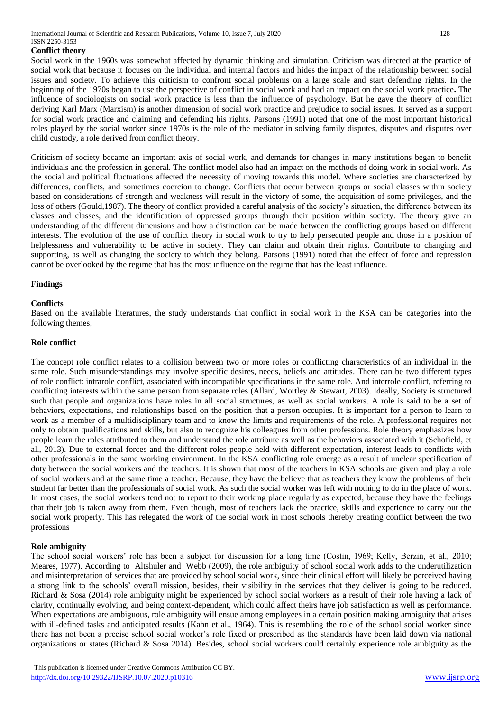International Journal of Scientific and Research Publications, Volume 10, Issue 7, July 2020 128 ISSN 2250-3153

## **Conflict theory**

Social work in the 1960s was somewhat affected by dynamic thinking and simulation. Criticism was directed at the practice of social work that because it focuses on the individual and internal factors and hides the impact of the relationship between social issues and society. To achieve this criticism to confront social problems on a large scale and start defending rights. In the beginning of the 1970s began to use the perspective of conflict in social work and had an impact on the social work practice**.** The influence of sociologists on social work practice is less than the influence of psychology. But he gave the theory of conflict deriving Karl Marx (Marxism) is another dimension of social work practice and prejudice to social issues. It served as a support for social work practice and claiming and defending his rights. Parsons (1991) noted that one of the most important historical roles played by the social worker since 1970s is the role of the mediator in solving family disputes, disputes and disputes over child custody, a role derived from conflict theory.

Criticism of society became an important axis of social work, and demands for changes in many institutions began to benefit individuals and the profession in general. The conflict model also had an impact on the methods of doing work in social work. As the social and political fluctuations affected the necessity of moving towards this model. Where societies are characterized by differences, conflicts, and sometimes coercion to change. Conflicts that occur between groups or social classes within society based on considerations of strength and weakness will result in the victory of some, the acquisition of some privileges, and the loss of others (Gould,1987). The theory of conflict provided a careful analysis of the society's situation, the difference between its classes and classes, and the identification of oppressed groups through their position within society. The theory gave an understanding of the different dimensions and how a distinction can be made between the conflicting groups based on different interests. The evolution of the use of conflict theory in social work to try to help persecuted people and those in a position of helplessness and vulnerability to be active in society. They can claim and obtain their rights. Contribute to changing and supporting, as well as changing the society to which they belong. Parsons (1991) noted that the effect of force and repression cannot be overlooked by the regime that has the most influence on the regime that has the least influence.

## **Findings**

## **Conflicts**

Based on the available literatures, the study understands that conflict in social work in the KSA can be categories into the following themes;

## **Role conflict**

The concept role conflict relates to a collision between two or more roles or conflicting characteristics of an individual in the same role. Such misunderstandings may involve specific desires, needs, beliefs and attitudes. There can be two different types of role conflict: intrarole conflict, associated with incompatible specifications in the same role. And interrole conflict, referring to conflicting interests within the same person from separate roles (Allard, Wortley & Stewart, 2003). Ideally, Society is structured such that people and organizations have roles in all social structures, as well as social workers. A role is said to be a set of behaviors, expectations, and relationships based on the position that a person occupies. It is important for a person to learn to work as a member of a multidisciplinary team and to know the limits and requirements of the role. A professional requires not only to obtain qualifications and skills, but also to recognize his colleagues from other professions. Role theory emphasizes how people learn the roles attributed to them and understand the role attribute as well as the behaviors associated with it (Schofield, et al., 2013). Due to external forces and the different roles people held with different expectation, interest leads to conflicts with other professionals in the same working environment. In the KSA conflicting role emerge as a result of unclear specification of duty between the social workers and the teachers. It is shown that most of the teachers in KSA schools are given and play a role of social workers and at the same time a teacher. Because, they have the believe that as teachers they know the problems of their student far better than the professionals of social work. As such the social worker was left with nothing to do in the place of work. In most cases, the social workers tend not to report to their working place regularly as expected, because they have the feelings that their job is taken away from them. Even though, most of teachers lack the practice, skills and experience to carry out the social work properly. This has relegated the work of the social work in most schools thereby creating conflict between the two professions

#### **Role ambiguity**

The school social workers' role has been a subject for discussion for a long time (Costin, 1969; Kelly, Berzin, et al., 2010; Meares, 1977). According to Altshuler and Webb (2009), the role ambiguity of school social work adds to the underutilization and misinterpretation of services that are provided by school social work, since their clinical effort will likely be perceived having a strong link to the schools' overall mission, besides, their visibility in the services that they deliver is going to be reduced. Richard & Sosa (2014) role ambiguity might be experienced by school social workers as a result of their role having a lack of clarity, continually evolving, and being context-dependent, which could affect theirs have job satisfaction as well as performance. When expectations are ambiguous, role ambiguity will ensue among employees in a certain position making ambiguity that arises with ill-defined tasks and anticipated results (Kahn et al., 1964). This is resembling the role of the school social worker since there has not been a precise school social worker's role fixed or prescribed as the standards have been laid down via national organizations or states (Richard & Sosa 2014). Besides, school social workers could certainly experience role ambiguity as the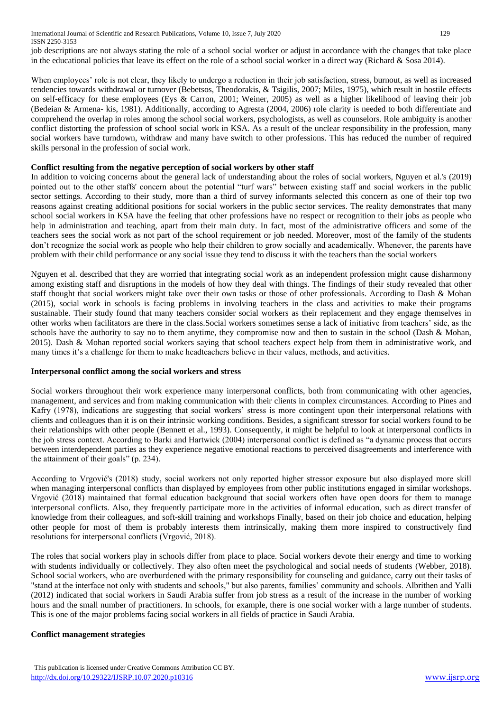International Journal of Scientific and Research Publications, Volume 10, Issue 7, July 2020 129 ISSN 2250-3153

job descriptions are not always stating the role of a school social worker or adjust in accordance with the changes that take place in the educational policies that leave its effect on the role of a school social worker in a direct way (Richard & Sosa 2014).

When employees' role is not clear, they likely to undergo a reduction in their job satisfaction, stress, burnout, as well as increased tendencies towards withdrawal or turnover (Bebetsos, Theodorakis, & Tsigilis, 2007; Miles, 1975), which result in hostile effects on self-efficacy for these employees (Eys & Carron, 2001; Weiner, 2005) as well as a higher likelihood of leaving their job (Bedeian & Armena- kis, 1981). Additionally, according to Agresta (2004, 2006) role clarity is needed to both differentiate and comprehend the overlap in roles among the school social workers, psychologists, as well as counselors. Role ambiguity is another conflict distorting the profession of school social work in KSA. As a result of the unclear responsibility in the profession, many social workers have turndown, withdraw and many have switch to other professions. This has reduced the number of required skills personal in the profession of social work.

## **Conflict resulting from the negative perception of social workers by other staff**

In addition to voicing concerns about the general lack of understanding about the roles of social workers, Nguyen et al.'s (2019) pointed out to the other staffs' concern about the potential "turf wars" between existing staff and social workers in the public sector settings. According to their study, more than a third of survey informants selected this concern as one of their top two reasons against creating additional positions for social workers in the public sector services. The reality demonstrates that many school social workers in KSA have the feeling that other professions have no respect or recognition to their jobs as people who help in administration and teaching, apart from their main duty. In fact, most of the administrative officers and some of the teachers sees the social work as not part of the school requirement or job needed. Moreover, most of the family of the students don't recognize the social work as people who help their children to grow socially and academically. Whenever, the parents have problem with their child performance or any social issue they tend to discuss it with the teachers than the social workers

Nguyen et al. described that they are worried that integrating social work as an independent profession might cause disharmony among existing staff and disruptions in the models of how they deal with things. The findings of their study revealed that other staff thought that social workers might take over their own tasks or those of other professionals. According to Dash & Mohan (2015), social work in schools is facing problems in involving teachers in the class and activities to make their programs sustainable. Their study found that many teachers consider social workers as their replacement and they engage themselves in other works when facilitators are there in the class.Social workers sometimes sense a lack of initiative from teachers' side, as the schools have the authority to say no to them anytime, they compromise now and then to sustain in the school (Dash & Mohan, 2015). Dash & Mohan reported social workers saying that school teachers expect help from them in administrative work, and many times it's a challenge for them to make headteachers believe in their values, methods, and activities.

## **Interpersonal conflict among the social workers and stress**

Social workers throughout their work experience many interpersonal conflicts, both from communicating with other agencies, management, and services and from making communication with their clients in complex circumstances. According to Pines and Kafry (1978), indications are suggesting that social workers' stress is more contingent upon their interpersonal relations with clients and colleagues than it is on their intrinsic working conditions. Besides, a significant stressor for social workers found to be their relationships with other people (Bennett et al., 1993). Consequently, it might be helpful to look at interpersonal conflicts in the job stress context. According to Barki and Hartwick (2004) interpersonal conflict is defined as "a dynamic process that occurs between interdependent parties as they experience negative emotional reactions to perceived disagreements and interference with the attainment of their goals" (p. 234).

According to Vrgović's (2018) study, social workers not only reported higher stressor exposure but also displayed more skill when managing interpersonal conflicts than displayed by employees from other public institutions engaged in similar workshops. Vrgović (2018) maintained that formal education background that social workers often have open doors for them to manage interpersonal conflicts. Also, they frequently participate more in the activities of informal education, such as direct transfer of knowledge from their colleagues, and soft-skill training and workshops Finally, based on their job choice and education, helping other people for most of them is probably interests them intrinsically, making them more inspired to constructively find resolutions for interpersonal conflicts (Vrgović, 2018).

The roles that social workers play in schools differ from place to place. Social workers devote their energy and time to working with students individually or collectively. They also often meet the psychological and social needs of students (Webber, 2018). School social workers, who are overburdened with the primary responsibility for counseling and guidance, carry out their tasks of "stand at the interface not only with students and schools," but also parents, families' community and schools. Albrithen and Yalli (2012) indicated that social workers in Saudi Arabia suffer from job stress as a result of the increase in the number of working hours and the small number of practitioners. In schools, for example, there is one social worker with a large number of students. This is one of the major problems facing social workers in all fields of practice in Saudi Arabia.

# **Conflict management strategies**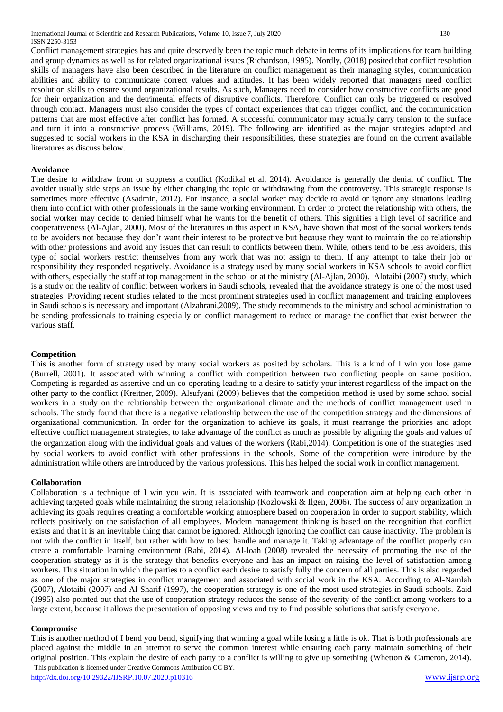Conflict management strategies has and quite deservedly been the topic much debate in terms of its implications for team building and group dynamics as well as for related organizational issues (Richardson, 1995). Nordly, (2018) posited that conflict resolution skills of managers have also been described in the literature on conflict management as their managing styles, communication abilities and ability to communicate correct values and attitudes. It has been widely reported that managers need conflict resolution skills to ensure sound organizational results. As such, Managers need to consider how constructive conflicts are good for their organization and the detrimental effects of disruptive conflicts. Therefore, Conflict can only be triggered or resolved through contact. Managers must also consider the types of contact experiences that can trigger conflict, and the communication patterns that are most effective after conflict has formed. A successful communicator may actually carry tension to the surface and turn it into a constructive process (Williams, 2019). The following are identified as the major strategies adopted and suggested to social workers in the KSA in discharging their responsibilities, these strategies are found on the current available literatures as discuss below.

## **Avoidance**

The desire to withdraw from or suppress a conflict (Kodikal et al, 2014). Avoidance is generally the denial of conflict. The avoider usually side steps an issue by either changing the topic or withdrawing from the controversy. This strategic response is sometimes more effective (Asadmin, 2012). For instance, a social worker may decide to avoid or ignore any situations leading them into conflict with other professionals in the same working environment. In order to protect the relationship with others, the social worker may decide to denied himself what he wants for the benefit of others. This signifies a high level of sacrifice and cooperativeness (Al-Ajlan, 2000). Most of the literatures in this aspect in KSA, have shown that most of the social workers tends to be avoiders not because they don't want their interest to be protective but because they want to maintain the co relationship with other professions and avoid any issues that can result to conflicts between them. While, others tend to be less avoiders, this type of social workers restrict themselves from any work that was not assign to them. If any attempt to take their job or responsibility they responded negatively. Avoidance is a strategy used by many social workers in KSA schools to avoid conflict with others, especially the staff at top management in the school or at the ministry (Al-Ajlan, 2000). Alotaibi (2007) study, which is a study on the reality of conflict between workers in Saudi schools, revealed that the avoidance strategy is one of the most used strategies. Providing recent studies related to the most prominent strategies used in conflict management and training employees in Saudi schools is necessary and important (Alzahrani,2009). The study recommends to the ministry and school administration to be sending professionals to training especially on conflict management to reduce or manage the conflict that exist between the various staff.

## **Competition**

This is another form of strategy used by many social workers as posited by scholars. This is a kind of I win you lose game (Burrell, 2001). It associated with winning a conflict with competition between two conflicting people on same position. Competing is regarded as assertive and un co-operating leading to a desire to satisfy your interest regardless of the impact on the other party to the conflict (Kreitner, 2009). Alsufyani (2009) believes that the competition method is used by some school social workers in a study on the relationship between the organizational climate and the methods of conflict management used in schools. The study found that there is a negative relationship between the use of the competition strategy and the dimensions of organizational communication. In order for the organization to achieve its goals, it must rearrange the priorities and adopt effective conflict management strategies, to take advantage of the conflict as much as possible by aligning the goals and values of the organization along with the individual goals and values of the workers (Rabi,2014). Competition is one of the strategies used by social workers to avoid conflict with other professions in the schools. Some of the competition were introduce by the administration while others are introduced by the various professions. This has helped the social work in conflict management.

## **Collaboration**

Collaboration is a technique of I win you win. It is associated with teamwork and cooperation aim at helping each other in achieving targeted goals while maintaining the strong relationship (Kozlowski & Ilgen, 2006). The success of any organization in achieving its goals requires creating a comfortable working atmosphere based on cooperation in order to support stability, which reflects positively on the satisfaction of all employees. Modern management thinking is based on the recognition that conflict exists and that it is an inevitable thing that cannot be ignored. Although ignoring the conflict can cause inactivity. The problem is not with the conflict in itself, but rather with how to best handle and manage it. Taking advantage of the conflict properly can create a comfortable learning environment (Rabi, 2014). Al-loah (2008) revealed the necessity of promoting the use of the cooperation strategy as it is the strategy that benefits everyone and has an impact on raising the level of satisfaction among workers. This situation in which the parties to a conflict each desire to satisfy fully the concern of all parties. This is also regarded as one of the major strategies in conflict management and associated with social work in the KSA. According to Al-Namlah (2007), Alotaibi (2007) and Al-Sharif (1997), the cooperation strategy is one of the most used strategies in Saudi schools. Zaid (1995) also pointed out that the use of cooperation strategy reduces the sense of the severity of the conflict among workers to a large extent, because it allows the presentation of opposing views and try to find possible solutions that satisfy everyone.

## **Compromise**

 This publication is licensed under Creative Commons Attribution CC BY. This is another method of I bend you bend, signifying that winning a goal while losing a little is ok. That is both professionals are placed against the middle in an attempt to serve the common interest while ensuring each party maintain something of their original position. This explain the desire of each party to a conflict is willing to give up something (Whetton & Cameron, 2014).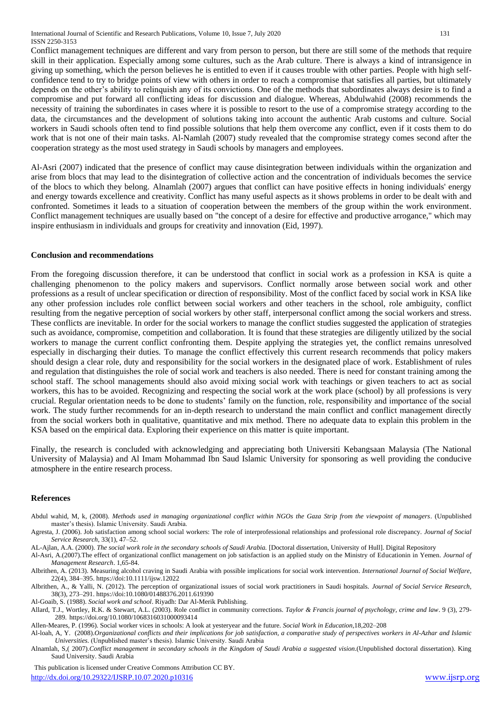Conflict management techniques are different and vary from person to person, but there are still some of the methods that require skill in their application. Especially among some cultures, such as the Arab culture. There is always a kind of intransigence in giving up something, which the person believes he is entitled to even if it causes trouble with other parties. People with high selfconfidence tend to try to bridge points of view with others in order to reach a compromise that satisfies all parties, but ultimately depends on the other's ability to relinquish any of its convictions. One of the methods that subordinates always desire is to find a compromise and put forward all conflicting ideas for discussion and dialogue. Whereas, Abdulwahid (2008) recommends the necessity of training the subordinates in cases where it is possible to resort to the use of a compromise strategy according to the data, the circumstances and the development of solutions taking into account the authentic Arab customs and culture. Social workers in Saudi schools often tend to find possible solutions that help them overcome any conflict, even if it costs them to do work that is not one of their main tasks. Al-Namlah (2007) study revealed that the compromise strategy comes second after the cooperation strategy as the most used strategy in Saudi schools by managers and employees.

Al-Asri (2007) indicated that the presence of conflict may cause disintegration between individuals within the organization and arise from blocs that may lead to the disintegration of collective action and the concentration of individuals becomes the service of the blocs to which they belong. Alnamlah (2007) argues that conflict can have positive effects in honing individuals' energy and energy towards excellence and creativity. Conflict has many useful aspects as it shows problems in order to be dealt with and confronted. Sometimes it leads to a situation of cooperation between the members of the group within the work environment. Conflict management techniques are usually based on "the concept of a desire for effective and productive arrogance," which may inspire enthusiasm in individuals and groups for creativity and innovation (Eid, 1997).

## **Conclusion and recommendations**

From the foregoing discussion therefore, it can be understood that conflict in social work as a profession in KSA is quite a challenging phenomenon to the policy makers and supervisors. Conflict normally arose between social work and other professions as a result of unclear specification or direction of responsibility. Most of the conflict faced by social work in KSA like any other profession includes role conflict between social workers and other teachers in the school, role ambiguity, conflict resulting from the negative perception of social workers by other staff, interpersonal conflict among the social workers and stress. These conflicts are inevitable. In order for the social workers to manage the conflict studies suggested the application of strategies such as avoidance, compromise, competition and collaboration. It is found that these strategies are diligently utilized by the social workers to manage the current conflict confronting them. Despite applying the strategies yet, the conflict remains unresolved especially in discharging their duties. To manage the conflict effectively this current research recommends that policy makers should design a clear role, duty and responsibility for the social workers in the designated place of work. Establishment of rules and regulation that distinguishes the role of social work and teachers is also needed. There is need for constant training among the school staff. The school managements should also avoid mixing social work with teachings or given teachers to act as social workers, this has to be avoided. Recognizing and respecting the social work at the work place (school) by all professions is very crucial. Regular orientation needs to be done to students' family on the function, role, responsibility and importance of the social work. The study further recommends for an in-depth research to understand the main conflict and conflict management directly from the social workers both in qualitative, quantitative and mix method. There no adequate data to explain this problem in the KSA based on the empirical data. Exploring their experience on this matter is quite important.

Finally, the research is concluded with acknowledging and appreciating both Universiti Kebangsaan Malaysia (The National University of Malaysia) and Al Imam Mohammad Ibn Saud Islamic University for sponsoring as well providing the conducive atmosphere in the entire research process.

#### **References**

Abdul wahid, M, k, (2008). *Methods used in managing organizational conflict within NGOs the Gaza Strip from the viewpoint of managers*. (Unpublished master's thesis). Islamic University. Saudi Arabia.

Agresta, J. (2006). Job satisfaction among school social workers: The role of interprofessional relationships and professional role discrepancy. *Journal of Social Service Research*, 33(1), 47–52.

AL-Ajlan, A.A. (2000). *The social work role in the secondary schools of Saudi Arabia.* [Doctoral dissertation, University of Hull]. Digital Repository

Al-Asri, A.(2007).The effect of organizational conflict management on job satisfaction is an applied study on the Ministry of Educationin in Yemen. *Journal of Management Research*. 1,65-84.

Albrithen, A. (2013). Measuring alcohol craving in Saudi Arabia with possible implications for social work intervention*. International Journal of Social Welfare*, 22(4), 384–395[. https://doi:10.1111/ijsw.12022](https://doi:10.1111/ijsw.12022)

Albrithen, A., & Yalli, N. (2012). The perception of organizational issues of social work practitioners in Saudi hospitals. *Journal of Social Service Research*, 38(3), 273–291[. https://doi:10.1080/01488376.2011.619390](https://doi:10.1080/01488376.2011.619390)

Al-Goaib, S. (1988). *Social work and school*. Riyadh: Dar Al-Merik Publishing.

Allard, T.J., Wortley, R.K. & Stewart, A.L. (2003). Role conflict in community corrections. *Taylor & Francis journal of psychology, crime and law*. 9 (3), 279- 289. https://doi.org/10.1080/1068316031000093414

Allen-Meares, P. (1996). Social worker vices in schools: A look at yesteryear and the future. *Social Work in Education*,18,202–208

Al-loah, A, Y. (2008).*Organizational conflicts and their implications for job satisfaction, a comparative study of perspectives workers in Al-Azhar and Islamic Universities.* (Unpublished master's thesis). Islamic University. Saudi Arabia

Alnamlah, S,( 2007).*Conflict management in secondary schools in the Kingdom of Saudi Arabia a suggested vision*.(Unpublished doctoral dissertation). King Saud University. Saudi Arabia

 This publication is licensed under Creative Commons Attribution CC BY. <http://dx.doi.org/10.29322/IJSRP.10.07.2020.p10316> [www.ijsrp.org](http://ijsrp.org/)